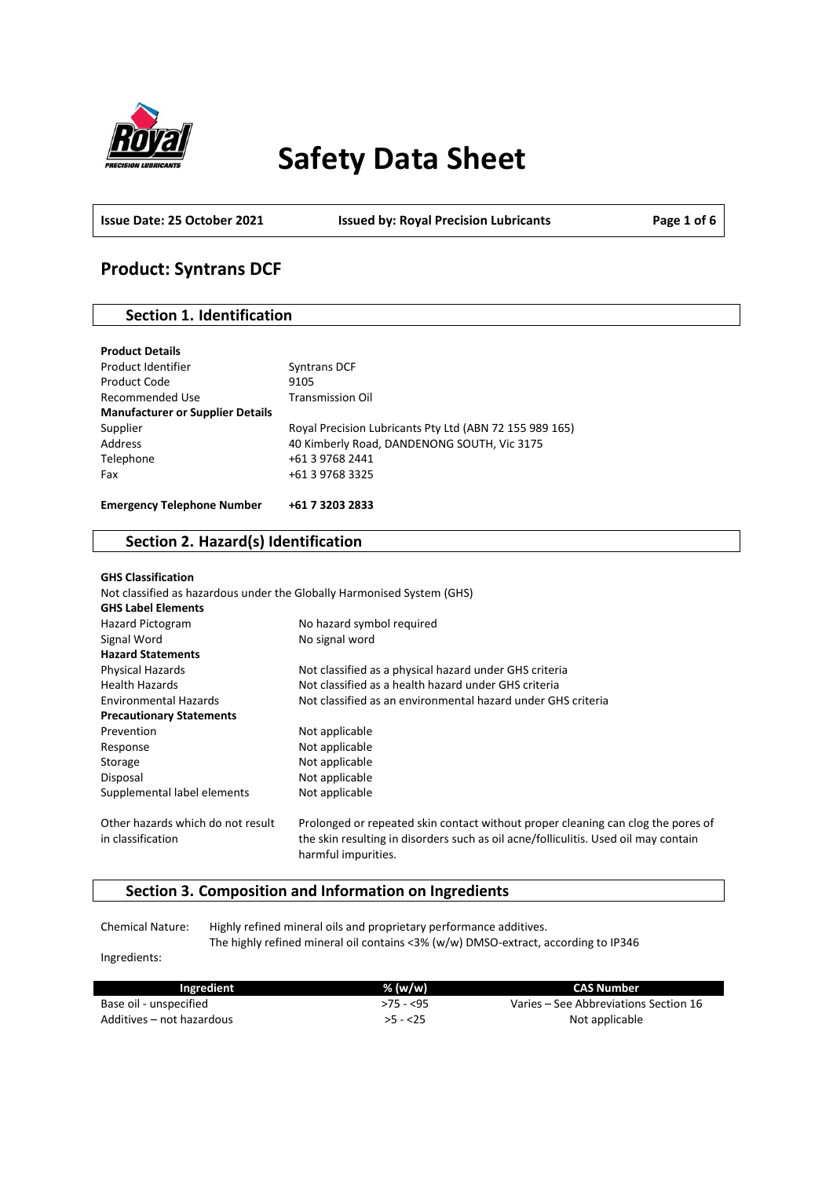

# **Safety Data Sheet**

**Issue Date: 25 October 2021 Issued by: Royal Precision Lubricants Page 1 of 6**

# **Product: Syntrans DCF**

## **Section 1. Identification**

| <b>Product Details</b>                  |                                                         |
|-----------------------------------------|---------------------------------------------------------|
| Product Identifier                      | Syntrans DCF                                            |
| Product Code                            | 9105                                                    |
| Recommended Use                         | <b>Transmission Oil</b>                                 |
| <b>Manufacturer or Supplier Details</b> |                                                         |
| Supplier                                | Royal Precision Lubricants Pty Ltd (ABN 72 155 989 165) |
| Address                                 | 40 Kimberly Road, DANDENONG SOUTH, Vic 3175             |
| Telephone                               | +61 3 9768 2441                                         |
| Fax                                     | +61 3 9768 3325                                         |
|                                         |                                                         |
| <b>Emergency Telephone Number</b>       | +61 7 3203 2833                                         |

# **Section 2. Hazard(s) Identification**

| <b>GHS Classification</b>                              |                                                                                                                                                                         |
|--------------------------------------------------------|-------------------------------------------------------------------------------------------------------------------------------------------------------------------------|
|                                                        | Not classified as hazardous under the Globally Harmonised System (GHS)                                                                                                  |
| <b>GHS Label Elements</b>                              |                                                                                                                                                                         |
| <b>Hazard Pictogram</b>                                | No hazard symbol required                                                                                                                                               |
| Signal Word                                            | No signal word                                                                                                                                                          |
| <b>Hazard Statements</b>                               |                                                                                                                                                                         |
| <b>Physical Hazards</b>                                | Not classified as a physical hazard under GHS criteria                                                                                                                  |
| <b>Health Hazards</b>                                  | Not classified as a health hazard under GHS criteria                                                                                                                    |
| <b>Environmental Hazards</b>                           | Not classified as an environmental hazard under GHS criteria                                                                                                            |
| <b>Precautionary Statements</b>                        |                                                                                                                                                                         |
| Prevention                                             | Not applicable                                                                                                                                                          |
| Response                                               | Not applicable                                                                                                                                                          |
| Storage                                                | Not applicable                                                                                                                                                          |
| Disposal                                               | Not applicable                                                                                                                                                          |
| Supplemental label elements                            | Not applicable                                                                                                                                                          |
| Other hazards which do not result<br>in classification | Prolonged or repeated skin contact without proper cleaning can clog the pores of<br>the skin resulting in disorders such as oil acne/folliculitis. Used oil may contain |
|                                                        | harmful impurities.                                                                                                                                                     |

## **Section 3. Composition and Information on Ingredients**

Chemical Nature: Highly refined mineral oils and proprietary performance additives. The highly refined mineral oil contains <3% (w/w) DMSO-extract, according to IP346

Ingredients:

| Ingredient                | $%$ (w/w)  | CAS Number                            |
|---------------------------|------------|---------------------------------------|
| Base oil - unspecified    | $>75 - 55$ | Varies – See Abbreviations Section 16 |
| Additives – not hazardous | $>5 - 25$  | Not applicable                        |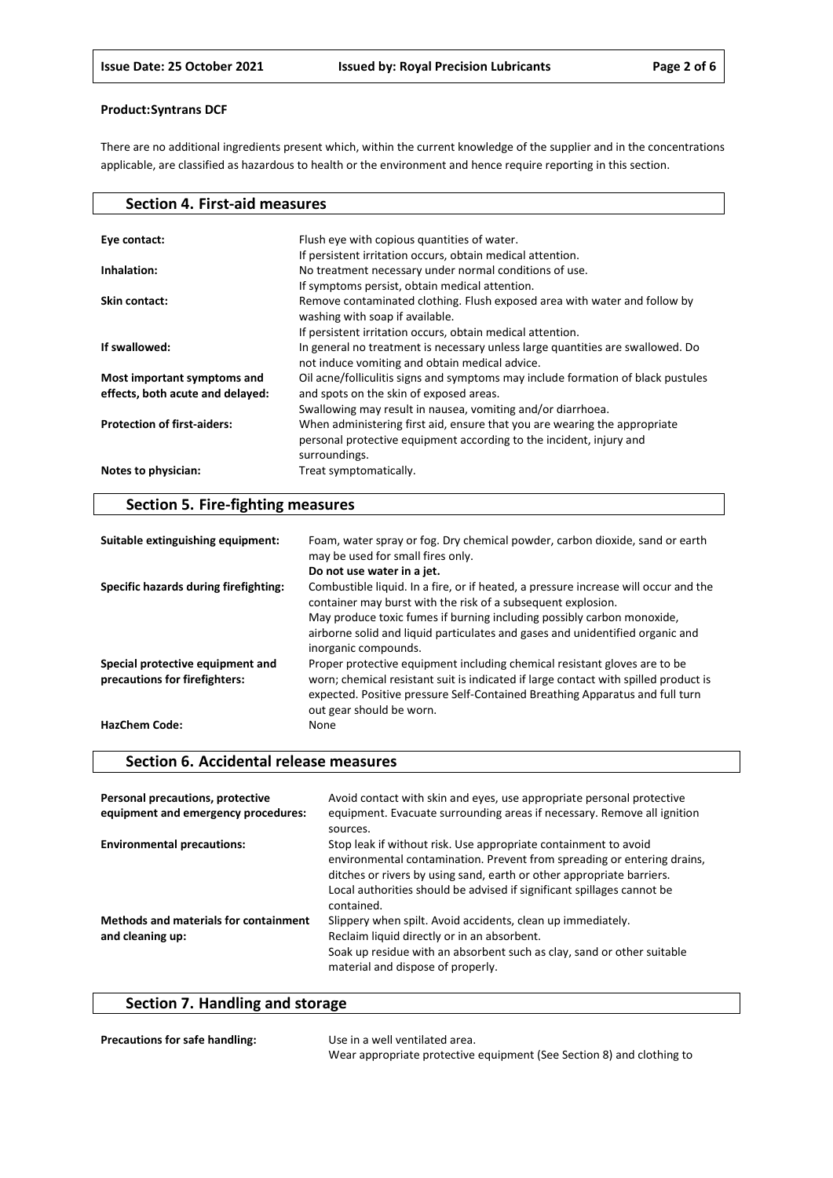There are no additional ingredients present which, within the current knowledge of the supplier and in the concentrations applicable, are classified as hazardous to health or the environment and hence require reporting in this section.

| <b>Section 4. First-aid measures</b> |                                                                                  |
|--------------------------------------|----------------------------------------------------------------------------------|
|                                      |                                                                                  |
| Eye contact:                         | Flush eye with copious quantities of water.                                      |
|                                      | If persistent irritation occurs, obtain medical attention.                       |
| Inhalation:                          | No treatment necessary under normal conditions of use.                           |
|                                      | If symptoms persist, obtain medical attention.                                   |
| Skin contact:                        | Remove contaminated clothing. Flush exposed area with water and follow by        |
|                                      | washing with soap if available.                                                  |
|                                      | If persistent irritation occurs, obtain medical attention.                       |
| If swallowed:                        | In general no treatment is necessary unless large quantities are swallowed. Do   |
|                                      | not induce vomiting and obtain medical advice.                                   |
| Most important symptoms and          | Oil acne/folliculitis signs and symptoms may include formation of black pustules |
| effects, both acute and delayed:     | and spots on the skin of exposed areas.                                          |
|                                      | Swallowing may result in nausea, vomiting and/or diarrhoea.                      |
| <b>Protection of first-aiders:</b>   | When administering first aid, ensure that you are wearing the appropriate        |
|                                      | personal protective equipment according to the incident, injury and              |
|                                      | surroundings.                                                                    |
| Notes to physician:                  | Treat symptomatically.                                                           |
|                                      |                                                                                  |

# **Section 5. Fire-fighting measures**

| Suitable extinguishing equipment:                                 | Foam, water spray or fog. Dry chemical powder, carbon dioxide, sand or earth<br>may be used for small fires only.                                                                                                                                                                                                                      |
|-------------------------------------------------------------------|----------------------------------------------------------------------------------------------------------------------------------------------------------------------------------------------------------------------------------------------------------------------------------------------------------------------------------------|
|                                                                   | Do not use water in a jet.                                                                                                                                                                                                                                                                                                             |
| Specific hazards during firefighting:                             | Combustible liquid. In a fire, or if heated, a pressure increase will occur and the<br>container may burst with the risk of a subsequent explosion.<br>May produce toxic fumes if burning including possibly carbon monoxide,<br>airborne solid and liquid particulates and gases and unidentified organic and<br>inorganic compounds. |
|                                                                   |                                                                                                                                                                                                                                                                                                                                        |
| Special protective equipment and<br>precautions for firefighters: | Proper protective equipment including chemical resistant gloves are to be<br>worn; chemical resistant suit is indicated if large contact with spilled product is<br>expected. Positive pressure Self-Contained Breathing Apparatus and full turn<br>out gear should be worn.                                                           |
| <b>HazChem Code:</b>                                              | None                                                                                                                                                                                                                                                                                                                                   |

## **Section 6. Accidental release measures**

| Personal precautions, protective<br>equipment and emergency procedures: | Avoid contact with skin and eyes, use appropriate personal protective<br>equipment. Evacuate surrounding areas if necessary. Remove all ignition<br>sources.                                                                                                                                                |
|-------------------------------------------------------------------------|-------------------------------------------------------------------------------------------------------------------------------------------------------------------------------------------------------------------------------------------------------------------------------------------------------------|
| <b>Environmental precautions:</b>                                       | Stop leak if without risk. Use appropriate containment to avoid<br>environmental contamination. Prevent from spreading or entering drains,<br>ditches or rivers by using sand, earth or other appropriate barriers.<br>Local authorities should be advised if significant spillages cannot be<br>contained. |
| <b>Methods and materials for containment</b><br>and cleaning up:        | Slippery when spilt. Avoid accidents, clean up immediately.<br>Reclaim liquid directly or in an absorbent.<br>Soak up residue with an absorbent such as clay, sand or other suitable<br>material and dispose of properly.                                                                                   |

# **Section 7. Handling and storage**

| <b>Precautions for safe handling:</b> | Use in a well ventilated area.                                        |
|---------------------------------------|-----------------------------------------------------------------------|
|                                       | Wear appropriate protective equipment (See Section 8) and clothing to |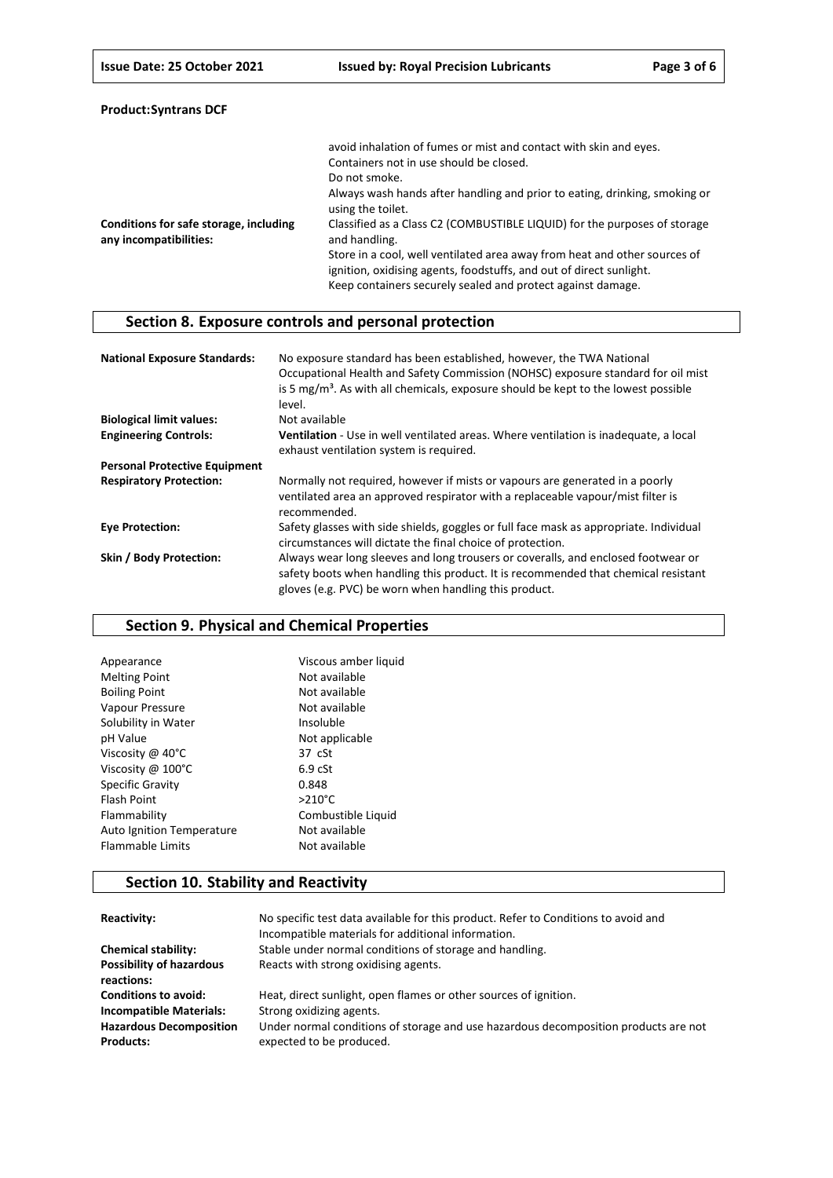| <b>Product:Syntrans DCF</b> |  |
|-----------------------------|--|
|-----------------------------|--|

|                                                                  | avoid inhalation of fumes or mist and contact with skin and eyes.                                                                                                                                               |
|------------------------------------------------------------------|-----------------------------------------------------------------------------------------------------------------------------------------------------------------------------------------------------------------|
|                                                                  | Containers not in use should be closed.                                                                                                                                                                         |
|                                                                  | Do not smoke.                                                                                                                                                                                                   |
|                                                                  | Always wash hands after handling and prior to eating, drinking, smoking or<br>using the toilet.                                                                                                                 |
| Conditions for safe storage, including<br>any incompatibilities: | Classified as a Class C2 (COMBUSTIBLE LIQUID) for the purposes of storage<br>and handling.                                                                                                                      |
|                                                                  | Store in a cool, well ventilated area away from heat and other sources of<br>ignition, oxidising agents, foodstuffs, and out of direct sunlight.<br>Keep containers securely sealed and protect against damage. |

# **Section 8. Exposure controls and personal protection**

| <b>National Exposure Standards:</b>  | No exposure standard has been established, however, the TWA National<br>Occupational Health and Safety Commission (NOHSC) exposure standard for oil mist<br>is 5 $mg/m3$ . As with all chemicals, exposure should be kept to the lowest possible<br>level. |
|--------------------------------------|------------------------------------------------------------------------------------------------------------------------------------------------------------------------------------------------------------------------------------------------------------|
| <b>Biological limit values:</b>      | Not available                                                                                                                                                                                                                                              |
| <b>Engineering Controls:</b>         | <b>Ventilation</b> - Use in well ventilated areas. Where ventilation is inadequate, a local<br>exhaust ventilation system is required.                                                                                                                     |
| <b>Personal Protective Equipment</b> |                                                                                                                                                                                                                                                            |
| <b>Respiratory Protection:</b>       | Normally not required, however if mists or vapours are generated in a poorly<br>ventilated area an approved respirator with a replaceable vapour/mist filter is<br>recommended.                                                                            |
| <b>Eye Protection:</b>               | Safety glasses with side shields, goggles or full face mask as appropriate. Individual<br>circumstances will dictate the final choice of protection.                                                                                                       |
| Skin / Body Protection:              | Always wear long sleeves and long trousers or coveralls, and enclosed footwear or<br>safety boots when handling this product. It is recommended that chemical resistant<br>gloves (e.g. PVC) be worn when handling this product.                           |

## **Section 9. Physical and Chemical Properties**

| Viscous amber liquid |
|----------------------|
| Not available        |
| Not available        |
| Not available        |
| Insoluble            |
| Not applicable       |
| $37 \text{ cSt}$     |
| 6.9 <sub>cf</sub>    |
| 0.848                |
| $>210^{\circ}$ C     |
| Combustible Liquid   |
| Not available        |
| Not available        |
|                      |

# **Section 10. Stability and Reactivity**

| Reactivity:                                        | No specific test data available for this product. Refer to Conditions to avoid and<br>Incompatible materials for additional information. |
|----------------------------------------------------|------------------------------------------------------------------------------------------------------------------------------------------|
| <b>Chemical stability:</b>                         | Stable under normal conditions of storage and handling.                                                                                  |
| <b>Possibility of hazardous</b><br>reactions:      | Reacts with strong oxidising agents.                                                                                                     |
| <b>Conditions to avoid:</b>                        | Heat, direct sunlight, open flames or other sources of ignition.                                                                         |
| <b>Incompatible Materials:</b>                     | Strong oxidizing agents.                                                                                                                 |
| <b>Hazardous Decomposition</b><br><b>Products:</b> | Under normal conditions of storage and use hazardous decomposition products are not<br>expected to be produced.                          |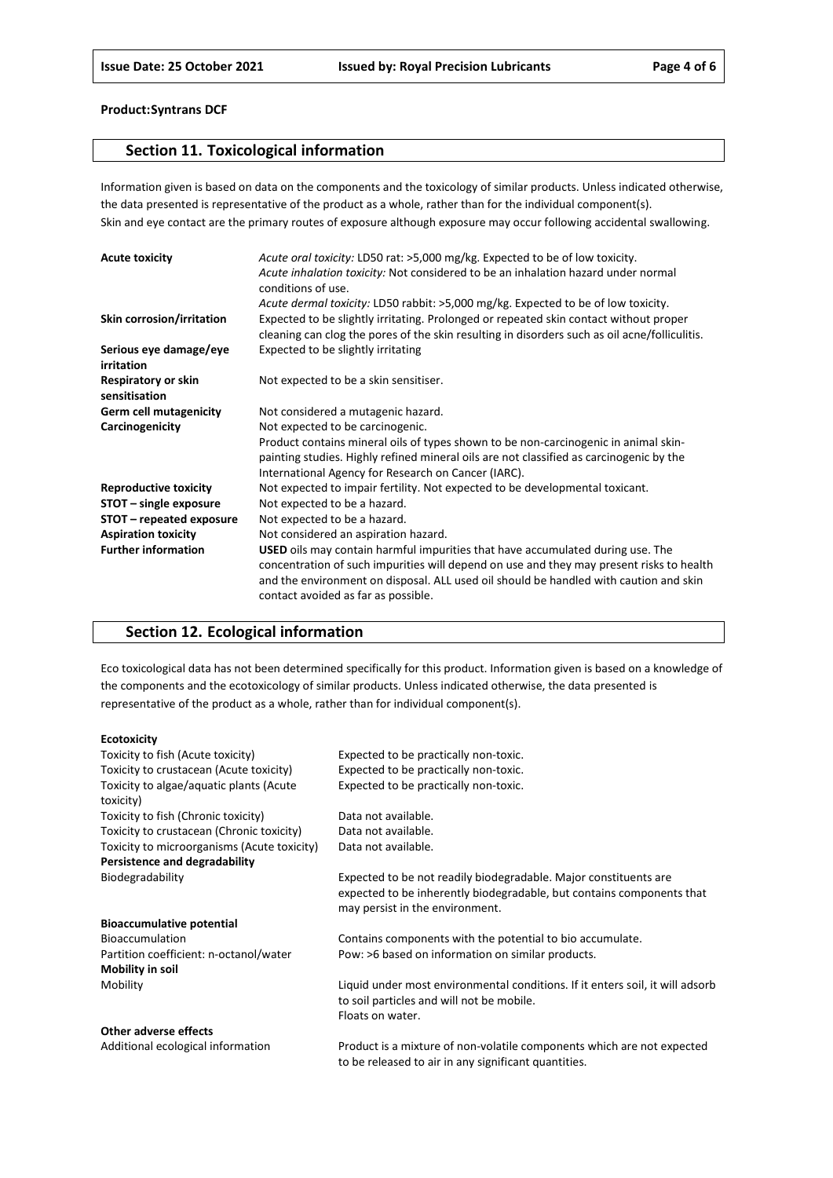## **Section 11. Toxicological information**

Information given is based on data on the components and the toxicology of similar products. Unless indicated otherwise, the data presented is representative of the product as a whole, rather than for the individual component(s). Skin and eye contact are the primary routes of exposure although exposure may occur following accidental swallowing.

| <b>Acute toxicity</b>                | Acute oral toxicity: LD50 rat: >5,000 mg/kg. Expected to be of low toxicity.<br>Acute inhalation toxicity: Not considered to be an inhalation hazard under normal<br>conditions of use.                                                                                                                           |
|--------------------------------------|-------------------------------------------------------------------------------------------------------------------------------------------------------------------------------------------------------------------------------------------------------------------------------------------------------------------|
|                                      | Acute dermal toxicity: LD50 rabbit: >5,000 mg/kg. Expected to be of low toxicity.                                                                                                                                                                                                                                 |
| Skin corrosion/irritation            | Expected to be slightly irritating. Prolonged or repeated skin contact without proper<br>cleaning can clog the pores of the skin resulting in disorders such as oil acne/folliculitis.                                                                                                                            |
| Serious eye damage/eye<br>irritation | Expected to be slightly irritating                                                                                                                                                                                                                                                                                |
| Respiratory or skin<br>sensitisation | Not expected to be a skin sensitiser.                                                                                                                                                                                                                                                                             |
| <b>Germ cell mutagenicity</b>        | Not considered a mutagenic hazard.                                                                                                                                                                                                                                                                                |
| Carcinogenicity                      | Not expected to be carcinogenic.                                                                                                                                                                                                                                                                                  |
|                                      | Product contains mineral oils of types shown to be non-carcinogenic in animal skin-<br>painting studies. Highly refined mineral oils are not classified as carcinogenic by the<br>International Agency for Research on Cancer (IARC).                                                                             |
| <b>Reproductive toxicity</b>         | Not expected to impair fertility. Not expected to be developmental toxicant.                                                                                                                                                                                                                                      |
| STOT - single exposure               | Not expected to be a hazard.                                                                                                                                                                                                                                                                                      |
| STOT – repeated exposure             | Not expected to be a hazard.                                                                                                                                                                                                                                                                                      |
| <b>Aspiration toxicity</b>           | Not considered an aspiration hazard.                                                                                                                                                                                                                                                                              |
| <b>Further information</b>           | <b>USED</b> oils may contain harmful impurities that have accumulated during use. The<br>concentration of such impurities will depend on use and they may present risks to health<br>and the environment on disposal. ALL used oil should be handled with caution and skin<br>contact avoided as far as possible. |

## **Section 12. Ecological information**

Eco toxicological data has not been determined specifically for this product. Information given is based on a knowledge of the components and the ecotoxicology of similar products. Unless indicated otherwise, the data presented is representative of the product as a whole, rather than for individual component(s).

#### **Ecotoxicity**

| Toxicity to fish (Acute toxicity)           | Expected to be practically non-toxic.                                         |
|---------------------------------------------|-------------------------------------------------------------------------------|
| Toxicity to crustacean (Acute toxicity)     | Expected to be practically non-toxic.                                         |
| Toxicity to algae/aquatic plants (Acute     | Expected to be practically non-toxic.                                         |
| toxicity)                                   |                                                                               |
| Toxicity to fish (Chronic toxicity)         | Data not available.                                                           |
| Toxicity to crustacean (Chronic toxicity)   | Data not available.                                                           |
| Toxicity to microorganisms (Acute toxicity) | Data not available.                                                           |
| Persistence and degradability               |                                                                               |
| Biodegradability                            | Expected to be not readily biodegradable. Major constituents are              |
|                                             | expected to be inherently biodegradable, but contains components that         |
|                                             | may persist in the environment.                                               |
| <b>Bioaccumulative potential</b>            |                                                                               |
| <b>Bioaccumulation</b>                      | Contains components with the potential to bio accumulate.                     |
| Partition coefficient: n-octanol/water      | Pow: >6 based on information on similar products.                             |
| <b>Mobility in soil</b>                     |                                                                               |
| Mobility                                    | Liquid under most environmental conditions. If it enters soil, it will adsorb |
|                                             | to soil particles and will not be mobile.                                     |
|                                             | Floats on water.                                                              |
| Other adverse effects                       |                                                                               |
| Additional ecological information           | Product is a mixture of non-volatile components which are not expected        |

to be released to air in any significant quantities.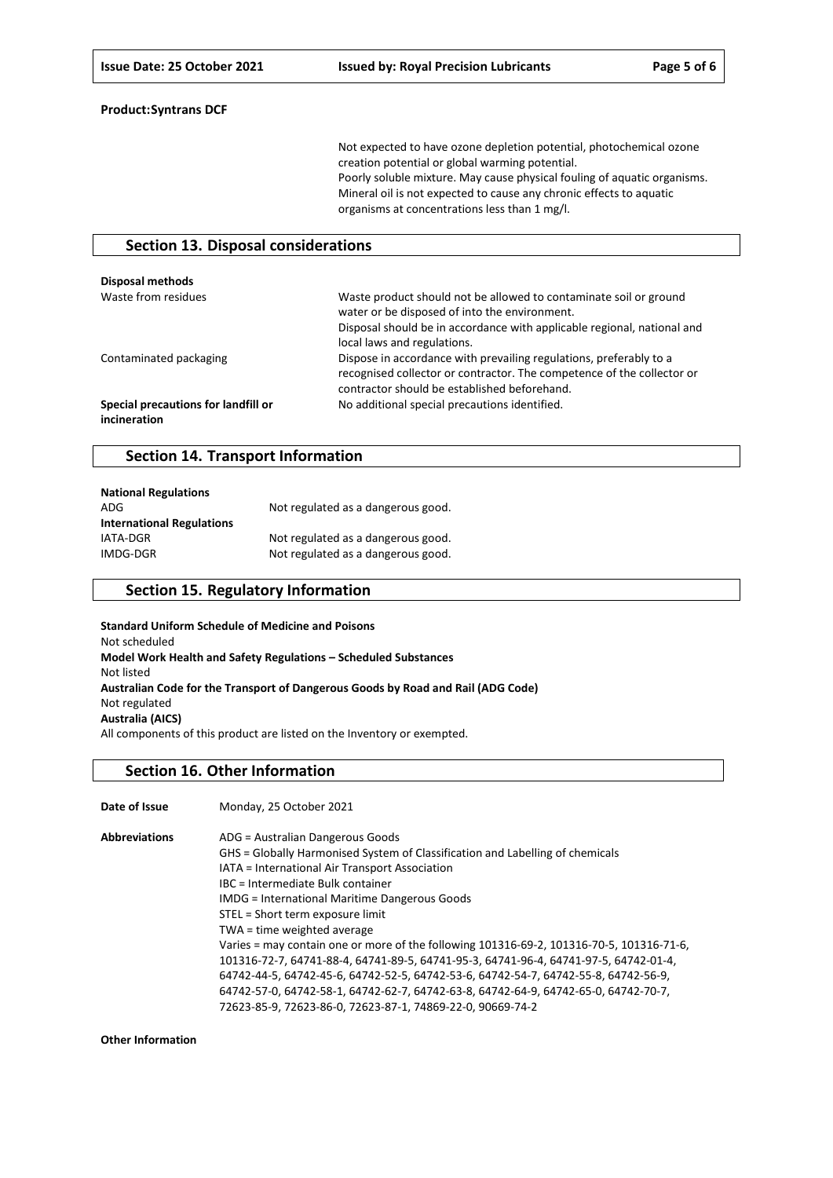Not expected to have ozone depletion potential, photochemical ozone creation potential or global warming potential. Poorly soluble mixture. May cause physical fouling of aquatic organisms. Mineral oil is not expected to cause any chronic effects to aquatic organisms at concentrations less than 1 mg/l.

#### **Section 13. Disposal considerations**

| Disposal methods                                    |                                                                                                                                                                                                                              |
|-----------------------------------------------------|------------------------------------------------------------------------------------------------------------------------------------------------------------------------------------------------------------------------------|
| Waste from residues                                 | Waste product should not be allowed to contaminate soil or ground<br>water or be disposed of into the environment.<br>Disposal should be in accordance with applicable regional, national and<br>local laws and regulations. |
| Contaminated packaging                              | Dispose in accordance with prevailing regulations, preferably to a<br>recognised collector or contractor. The competence of the collector or<br>contractor should be established beforehand.                                 |
| Special precautions for landfill or<br>incineration | No additional special precautions identified.                                                                                                                                                                                |

#### **Section 14. Transport Information**

| <b>National Regulations</b>      |                                    |
|----------------------------------|------------------------------------|
| ADG                              | Not regulated as a dangerous good. |
| <b>International Regulations</b> |                                    |
| IATA-DGR                         | Not regulated as a dangerous good. |
| IMDG-DGR                         | Not regulated as a dangerous good. |

## **Section 15. Regulatory Information**

**Standard Uniform Schedule of Medicine and Poisons** Not scheduled **Model Work Health and Safety Regulations – Scheduled Substances** Not listed **Australian Code for the Transport of Dangerous Goods by Road and Rail (ADG Code)** Not regulated **Australia (AICS)** All components of this product are listed on the Inventory or exempted.

#### **Section 16. Other Information**

| Date of Issue        | Monday, 25 October 2021                                                                  |
|----------------------|------------------------------------------------------------------------------------------|
| <b>Abbreviations</b> | ADG = Australian Dangerous Goods                                                         |
|                      | GHS = Globally Harmonised System of Classification and Labelling of chemicals            |
|                      | IATA = International Air Transport Association                                           |
|                      | IBC = Intermediate Bulk container                                                        |
|                      | <b>IMDG</b> = International Maritime Dangerous Goods                                     |
|                      | STEL = Short term exposure limit                                                         |
|                      | TWA = time weighted average                                                              |
|                      | Varies = may contain one or more of the following 101316-69-2, 101316-70-5, 101316-71-6, |
|                      | 101316-72-7, 64741-88-4, 64741-89-5, 64741-95-3, 64741-96-4, 64741-97-5, 64742-01-4,     |
|                      | 64742-44-5, 64742-45-6, 64742-52-5, 64742-53-6, 64742-54-7, 64742-55-8, 64742-56-9,      |
|                      | 64742-57-0, 64742-58-1, 64742-62-7, 64742-63-8, 64742-64-9, 64742-65-0, 64742-70-7,      |
|                      | 72623-85-9, 72623-86-0, 72623-87-1, 74869-22-0, 90669-74-2                               |

**Other Information**